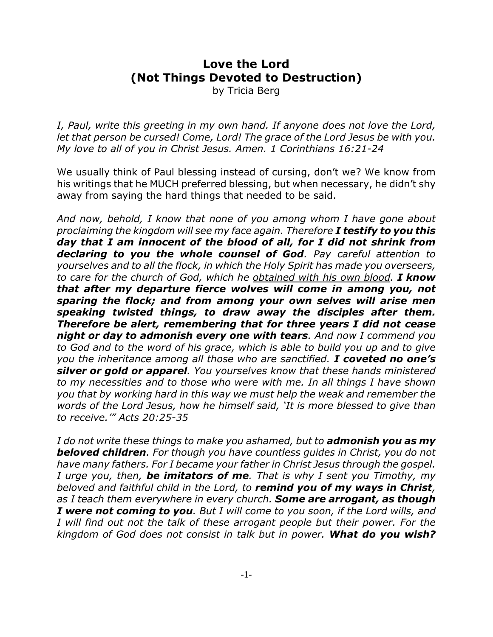## **Love the Lord (Not Things Devoted to Destruction)**

by Tricia Berg

*I, Paul, write this greeting in my own hand. If anyone does not love the Lord, let that person be cursed! Come, Lord! The grace of the Lord Jesus be with you. My love to all of you in Christ Jesus. Amen. 1 Corinthians 16:21-24*

We usually think of Paul blessing instead of cursing, don't we? We know from his writings that he MUCH preferred blessing, but when necessary, he didn't shy away from saying the hard things that needed to be said.

*And now, behold, I know that none of you among whom I have gone about proclaiming the kingdom will see my face again. Therefore I testify to you this day that I am innocent of the blood of all, for I did not shrink from declaring to you the whole counsel of God. Pay careful attention to yourselves and to all the flock, in which the Holy Spirit has made you overseers, to care for the church of God, which he obtained with his own blood. I know that after my departure fierce wolves will come in among you, not sparing the flock; and from among your own selves will arise men speaking twisted things, to draw away the disciples after them. Therefore be alert, remembering that for three years I did not cease night or day to admonish every one with tears. And now I commend you to God and to the word of his grace, which is able to build you up and to give you the inheritance among all those who are sanctified. I coveted no one's silver or gold or apparel. You yourselves know that these hands ministered to my necessities and to those who were with me. In all things I have shown you that by working hard in this way we must help the weak and remember the words of the Lord Jesus, how he himself said, 'It is more blessed to give than to receive.'" Acts 20:25-35*

*I do not write these things to make you ashamed, but to admonish you as my beloved children. For though you have countless guides in Christ, you do not have many fathers. For I became your father in Christ Jesus through the gospel. I urge you, then, be imitators of me. That is why I sent you Timothy, my beloved and faithful child in the Lord, to remind you of my ways in Christ, as I teach them everywhere in every church. Some are arrogant, as though I were not coming to you. But I will come to you soon, if the Lord wills, and I will find out not the talk of these arrogant people but their power. For the kingdom of God does not consist in talk but in power. What do you wish?*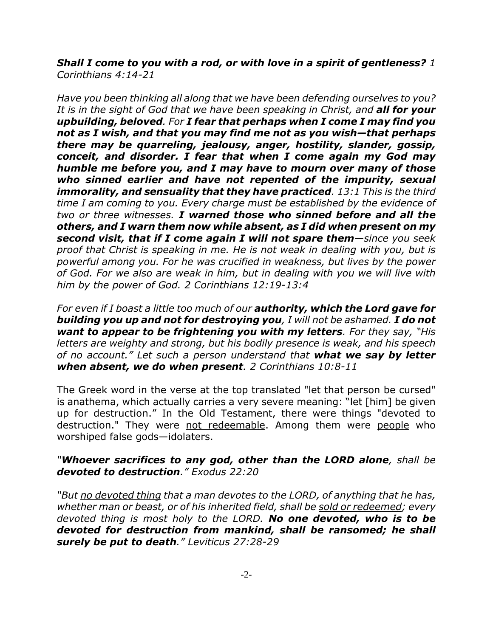*Shall I come to you with a rod, or with love in a spirit of gentleness? 1 Corinthians 4:14-21*

*Have you been thinking all along that we have been defending ourselves to you? It is in the sight of God that we have been speaking in Christ, and all for your upbuilding, beloved. For I fear that perhaps when I come I may find you not as I wish, and that you may find me not as you wish—that perhaps there may be quarreling, jealousy, anger, hostility, slander, gossip, conceit, and disorder. I fear that when I come again my God may humble me before you, and I may have to mourn over many of those who sinned earlier and have not repented of the impurity, sexual immorality, and sensuality that they have practiced. 13:1 This is the third time I am coming to you. Every charge must be established by the evidence of two or three witnesses. I warned those who sinned before and all the others, and I warn them now while absent, as I did when present on my second visit, that if I come again I will not spare them—since you seek proof that Christ is speaking in me. He is not weak in dealing with you, but is powerful among you. For he was crucified in weakness, but lives by the power of God. For we also are weak in him, but in dealing with you we will live with him by the power of God. 2 Corinthians 12:19-13:4*

*For even if I boast a little too much of our authority, which the Lord gave for building you up and not for destroying you, I will not be ashamed. I do not want to appear to be frightening you with my letters. For they say, "His letters are weighty and strong, but his bodily presence is weak, and his speech of no account." Let such a person understand that what we say by letter when absent, we do when present. 2 Corinthians 10:8-11*

The Greek word in the verse at the top translated "let that person be cursed" is anathema, which actually carries a very severe meaning: "let [him] be given up for destruction." In the Old Testament, there were things "devoted to destruction." They were not redeemable. Among them were people who worshiped false gods—idolaters.

## *"Whoever sacrifices to any god, other than the LORD alone, shall be devoted to destruction." Exodus 22:20*

*"But no devoted thing that a man devotes to the LORD, of anything that he has, whether man or beast, or of his inherited field, shall be sold or redeemed; every devoted thing is most holy to the LORD. No one devoted, who is to be devoted for destruction from mankind, shall be ransomed; he shall surely be put to death." Leviticus 27:28-29*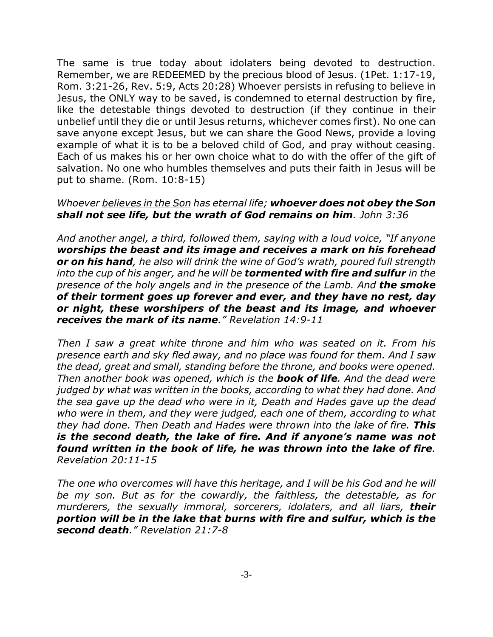The same is true today about idolaters being devoted to destruction. Remember, we are REDEEMED by the precious blood of Jesus. (1Pet. 1:17-19, Rom. 3:21-26, Rev. 5:9, Acts 20:28) Whoever persists in refusing to believe in Jesus, the ONLY way to be saved, is condemned to eternal destruction by fire, like the detestable things devoted to destruction (if they continue in their unbelief until they die or until Jesus returns, whichever comes first). No one can save anyone except Jesus, but we can share the Good News, provide a loving example of what it is to be a beloved child of God, and pray without ceasing. Each of us makes his or her own choice what to do with the offer of the gift of salvation. No one who humbles themselves and puts their faith in Jesus will be put to shame. (Rom. 10:8-15)

## *Whoever believes in the Son has eternal life; whoever does not obey the Son shall not see life, but the wrath of God remains on him. John 3:36*

*And another angel, a third, followed them, saying with a loud voice, "If anyone worships the beast and its image and receives a mark on his forehead or on his hand, he also will drink the wine of God's wrath, poured full strength into the cup of his anger, and he will be tormented with fire and sulfur in the presence of the holy angels and in the presence of the Lamb. And the smoke of their torment goes up forever and ever, and they have no rest, day or night, these worshipers of the beast and its image, and whoever receives the mark of its name." Revelation 14:9-11*

*Then I saw a great white throne and him who was seated on it. From his presence earth and sky fled away, and no place was found for them. And I saw the dead, great and small, standing before the throne, and books were opened. Then another book was opened, which is the book of life. And the dead were judged by what was written in the books, according to what they had done. And the sea gave up the dead who were in it, Death and Hades gave up the dead who were in them, and they were judged, each one of them, according to what they had done. Then Death and Hades were thrown into the lake of fire. This is the second death, the lake of fire. And if anyone's name was not found written in the book of life, he was thrown into the lake of fire. Revelation 20:11-15*

*The one who overcomes will have this heritage, and I will be his God and he will be my son. But as for the cowardly, the faithless, the detestable, as for murderers, the sexually immoral, sorcerers, idolaters, and all liars, their portion will be in the lake that burns with fire and sulfur, which is the second death." Revelation 21:7-8*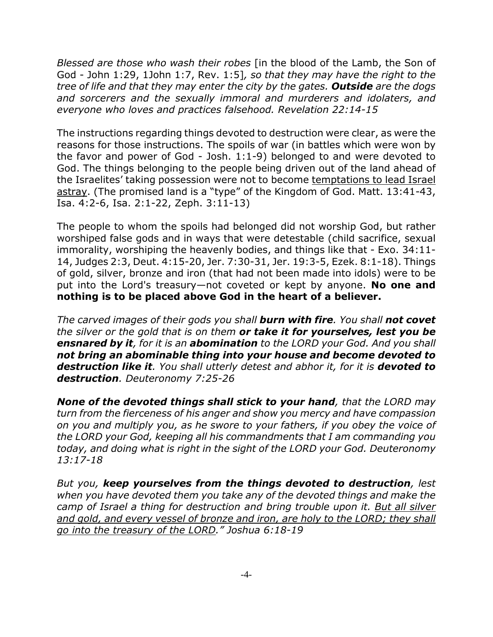*Blessed are those who wash their robes* [in the blood of the Lamb, the Son of God - John 1:29, 1John 1:7, Rev. 1:5]*, so that they may have the right to the tree of life and that they may enter the city by the gates. Outside are the dogs and sorcerers and the sexually immoral and murderers and idolaters, and everyone who loves and practices falsehood. Revelation 22:14-15*

The instructions regarding things devoted to destruction were clear, as were the reasons for those instructions. The spoils of war (in battles which were won by the favor and power of God - Josh. 1:1-9) belonged to and were devoted to God. The things belonging to the people being driven out of the land ahead of the Israelites' taking possession were not to become temptations to lead Israel astray. (The promised land is a "type" of the Kingdom of God. Matt. 13:41-43, Isa. 4:2-6, Isa. 2:1-22, Zeph. 3:11-13)

The people to whom the spoils had belonged did not worship God, but rather worshiped false gods and in ways that were detestable (child sacrifice, sexual immorality, worshiping the heavenly bodies, and things like that - Exo. 34:11- 14, Judges 2:3, Deut. 4:15-20, Jer. 7:30-31, Jer. 19:3-5, Ezek. 8:1-18). Things of gold, silver, bronze and iron (that had not been made into idols) were to be put into the Lord's treasury—not coveted or kept by anyone. **No one and nothing is to be placed above God in the heart of a believer.**

*The carved images of their gods you shall burn with fire. You shall not covet the silver or the gold that is on them or take it for yourselves, lest you be ensnared by it, for it is an abomination to the LORD your God. And you shall not bring an abominable thing into your house and become devoted to destruction like it. You shall utterly detest and abhor it, for it is devoted to destruction. Deuteronomy 7:25-26*

*None of the devoted things shall stick to your hand, that the LORD may turn from the fierceness of his anger and show you mercy and have compassion on you and multiply you, as he swore to your fathers, if you obey the voice of the LORD your God, keeping all his commandments that I am commanding you today, and doing what is right in the sight of the LORD your God. Deuteronomy 13:17-18*

*But you, keep yourselves from the things devoted to destruction, lest when you have devoted them you take any of the devoted things and make the camp of Israel a thing for destruction and bring trouble upon it. But all silver and gold, and every vessel of bronze and iron, are holy to the LORD; they shall go into the treasury of the LORD." Joshua 6:18-19*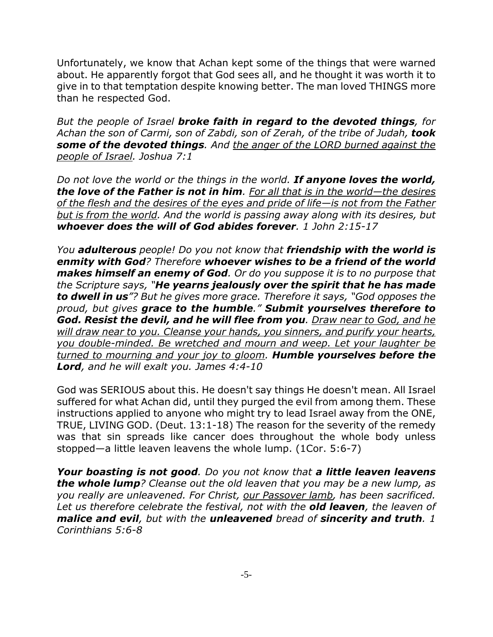Unfortunately, we know that Achan kept some of the things that were warned about. He apparently forgot that God sees all, and he thought it was worth it to give in to that temptation despite knowing better. The man loved THINGS more than he respected God.

*But the people of Israel broke faith in regard to the devoted things, for Achan the son of Carmi, son of Zabdi, son of Zerah, of the tribe of Judah, took some of the devoted things. And the anger of the LORD burned against the people of Israel. Joshua 7:1*

*Do not love the world or the things in the world. If anyone loves the world, the love of the Father is not in him. For all that is in the world—the desires of the flesh and the desires of the eyes and pride of life—is not from the Father but is from the world. And the world is passing away along with its desires, but whoever does the will of God abides forever. 1 John 2:15-17*

*You adulterous people! Do you not know that friendship with the world is enmity with God? Therefore whoever wishes to be a friend of the world makes himself an enemy of God. Or do you suppose it is to no purpose that the Scripture says, "He yearns jealously over the spirit that he has made to dwell in us"? But he gives more grace. Therefore it says, "God opposes the proud, but gives grace to the humble." Submit yourselves therefore to God. Resist the devil, and he will flee from you. Draw near to God, and he will draw near to you. Cleanse your hands, you sinners, and purify your hearts, you double-minded. Be wretched and mourn and weep. Let your laughter be turned to mourning and your joy to gloom. Humble yourselves before the Lord, and he will exalt you. James 4:4-10*

God was SERIOUS about this. He doesn't say things He doesn't mean. All Israel suffered for what Achan did, until they purged the evil from among them. These instructions applied to anyone who might try to lead Israel away from the ONE, TRUE, LIVING GOD. (Deut. 13:1-18) The reason for the severity of the remedy was that sin spreads like cancer does throughout the whole body unless stopped—a little leaven leavens the whole lump. (1Cor. 5:6-7)

*Your boasting is not good. Do you not know that a little leaven leavens the whole lump? Cleanse out the old leaven that you may be a new lump, as you really are unleavened. For Christ, our Passover lamb, has been sacrificed. Let us therefore celebrate the festival, not with the old leaven, the leaven of malice and evil, but with the unleavened bread of sincerity and truth. 1 Corinthians 5:6-8*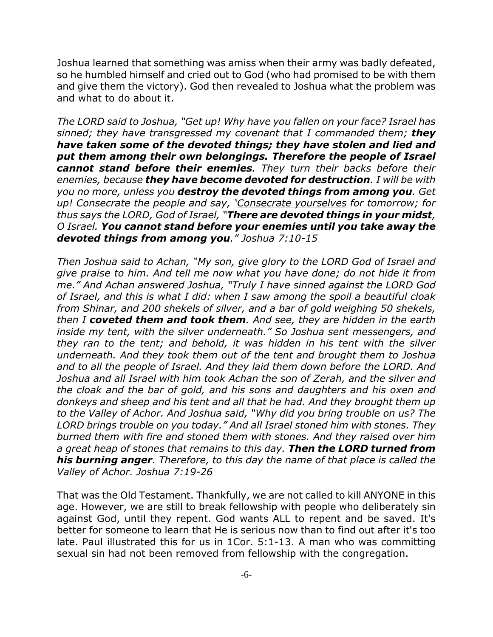Joshua learned that something was amiss when their army was badly defeated, so he humbled himself and cried out to God (who had promised to be with them and give them the victory). God then revealed to Joshua what the problem was and what to do about it.

*The LORD said to Joshua, "Get up! Why have you fallen on your face? Israel has sinned; they have transgressed my covenant that I commanded them; they have taken some of the devoted things; they have stolen and lied and put them among their own belongings. Therefore the people of Israel cannot stand before their enemies. They turn their backs before their enemies, because they have become devoted for destruction. I will be with you no more, unless you destroy the devoted things from among you. Get up! Consecrate the people and say, 'Consecrate yourselves for tomorrow; for thus says the LORD, God of Israel, "There are devoted things in your midst, O Israel. You cannot stand before your enemies until you take away the devoted things from among you." Joshua 7:10-15*

*Then Joshua said to Achan, "My son, give glory to the LORD God of Israel and give praise to him. And tell me now what you have done; do not hide it from me." And Achan answered Joshua, "Truly I have sinned against the LORD God of Israel, and this is what I did: when I saw among the spoil a beautiful cloak from Shinar, and 200 shekels of silver, and a bar of gold weighing 50 shekels, then I coveted them and took them. And see, they are hidden in the earth inside my tent, with the silver underneath." So Joshua sent messengers, and they ran to the tent; and behold, it was hidden in his tent with the silver underneath. And they took them out of the tent and brought them to Joshua and to all the people of Israel. And they laid them down before the LORD. And Joshua and all Israel with him took Achan the son of Zerah, and the silver and the cloak and the bar of gold, and his sons and daughters and his oxen and donkeys and sheep and his tent and all that he had. And they brought them up to the Valley of Achor. And Joshua said, "Why did you bring trouble on us? The LORD brings trouble on you today." And all Israel stoned him with stones. They burned them with fire and stoned them with stones. And they raised over him a great heap of stones that remains to this day. Then the LORD turned from his burning anger. Therefore, to this day the name of that place is called the Valley of Achor. Joshua 7:19-26*

That was the Old Testament. Thankfully, we are not called to kill ANYONE in this age. However, we are still to break fellowship with people who deliberately sin against God, until they repent. God wants ALL to repent and be saved. It's better for someone to learn that He is serious now than to find out after it's too late. Paul illustrated this for us in 1Cor. 5:1-13. A man who was committing sexual sin had not been removed from fellowship with the congregation.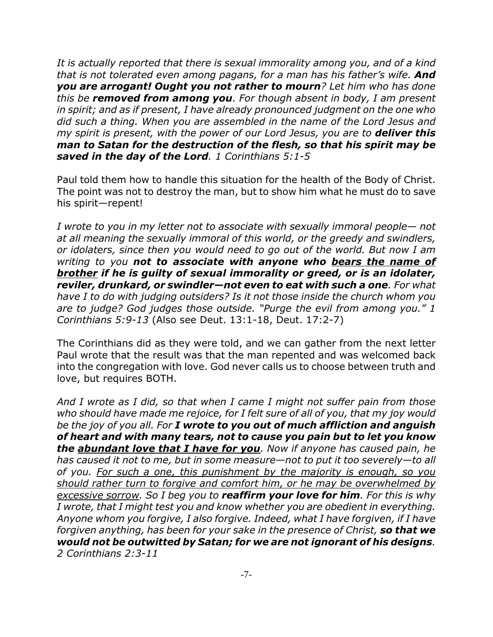*It is actually reported that there is sexual immorality among you, and of a kind that is not tolerated even among pagans, for a man has his father's wife. And you are arrogant! Ought you not rather to mourn? Let him who has done this be removed from among you. For though absent in body, I am present in spirit; and as if present, I have already pronounced judgment on the one who did such a thing. When you are assembled in the name of the Lord Jesus and my spirit is present, with the power of our Lord Jesus, you are to deliver this man to Satan for the destruction of the flesh, so that his spirit may be saved in the day of the Lord. 1 Corinthians 5:1-5*

Paul told them how to handle this situation for the health of the Body of Christ. The point was not to destroy the man, but to show him what he must do to save his spirit—repent!

*I wrote to you in my letter not to associate with sexually immoral people— not at all meaning the sexually immoral of this world, or the greedy and swindlers, or idolaters, since then you would need to go out of the world. But now I am writing to you not to associate with anyone who bears the name of brother if he is guilty of sexual immorality or greed, or is an idolater, reviler, drunkard, or swindler—not even to eat with such a one. For what have I to do with judging outsiders? Is it not those inside the church whom you are to judge? God judges those outside. "Purge the evil from among you." 1 Corinthians 5:9-13* (Also see Deut. 13:1-18, Deut. 17:2-7)

The Corinthians did as they were told, and we can gather from the next letter Paul wrote that the result was that the man repented and was welcomed back into the congregation with love. God never calls us to choose between truth and love, but requires BOTH.

*And I wrote as I did, so that when I came I might not suffer pain from those who should have made me rejoice, for I felt sure of all of you, that my joy would be the joy of you all. For I wrote to you out of much affliction and anguish of heart and with many tears, not to cause you pain but to let you know the abundant love that I have for you. Now if anyone has caused pain, he has caused it not to me, but in some measure—not to put it too severely—to all of you. For such a one, this punishment by the majority is enough, so you should rather turn to forgive and comfort him, or he may be overwhelmed by excessive sorrow. So I beg you to reaffirm your love for him. For this is why I wrote, that I might test you and know whether you are obedient in everything. Anyone whom you forgive, I also forgive. Indeed, what I have forgiven, if I have forgiven anything, has been for your sake in the presence of Christ, so that we would not be outwitted by Satan; for we are not ignorant of his designs. 2 Corinthians 2:3-11*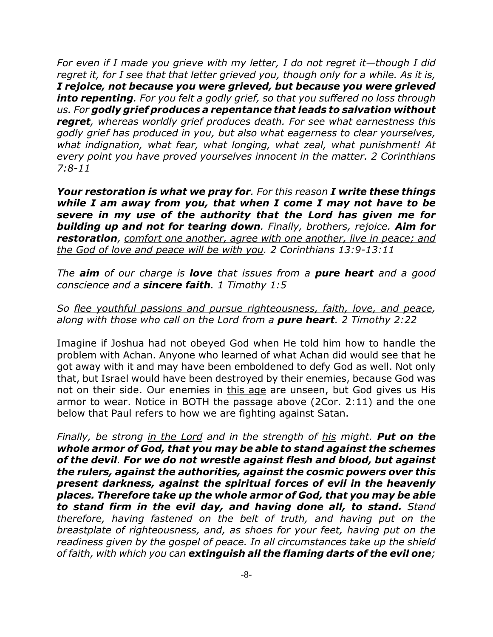*For even if I made you grieve with my letter, I do not regret it—though I did regret it, for I see that that letter grieved you, though only for a while. As it is, I rejoice, not because you were grieved, but because you were grieved into repenting. For you felt a godly grief, so that you suffered no loss through us. For godly grief produces a repentance that leads to salvation without regret, whereas worldly grief produces death. For see what earnestness this godly grief has produced in you, but also what eagerness to clear yourselves, what indignation, what fear, what longing, what zeal, what punishment! At every point you have proved yourselves innocent in the matter. 2 Corinthians 7:8-11*

*Your restoration is what we pray for. For this reason I write these things while I am away from you, that when I come I may not have to be severe in my use of the authority that the Lord has given me for building up and not for tearing down. Finally, brothers, rejoice. Aim for restoration, comfort one another, agree with one another, live in peace; and the God of love and peace will be with you. 2 Corinthians 13:9-13:11*

*The aim of our charge is love that issues from a pure heart and a good conscience and a sincere faith. 1 Timothy 1:5*

*So flee youthful passions and pursue righteousness, faith, love, and peace, along with those who call on the Lord from a pure heart. 2 Timothy 2:22*

Imagine if Joshua had not obeyed God when He told him how to handle the problem with Achan. Anyone who learned of what Achan did would see that he got away with it and may have been emboldened to defy God as well. Not only that, but Israel would have been destroyed by their enemies, because God was not on their side. Our enemies in this age are unseen, but God gives us His armor to wear. Notice in BOTH the passage above (2Cor. 2:11) and the one below that Paul refers to how we are fighting against Satan.

*Finally, be strong in the Lord and in the strength of his might. Put on the whole armor of God, that you may be able to stand against the schemes of the devil. For we do not wrestle against flesh and blood, but against the rulers, against the authorities, against the cosmic powers over this present darkness, against the spiritual forces of evil in the heavenly places. Therefore take up the whole armor of God, that you may be able to stand firm in the evil day, and having done all, to stand. Stand therefore, having fastened on the belt of truth, and having put on the breastplate of righteousness, and, as shoes for your feet, having put on the readiness given by the gospel of peace. In all circumstances take up the shield of faith, with which you can extinguish all the flaming darts of the evil one;*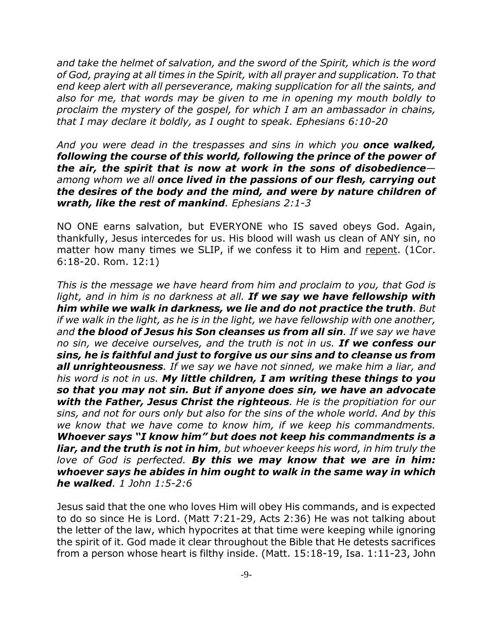*and take the helmet of salvation, and the sword of the Spirit, which is the word of God, praying at all times in the Spirit, with all prayer and supplication. To that end keep alert with all perseverance, making supplication for all the saints, and also for me, that words may be given to me in opening my mouth boldly to proclaim the mystery of the gospel, for which I am an ambassador in chains, that I may declare it boldly, as I ought to speak. Ephesians 6:10-20*

*And you were dead in the trespasses and sins in which you once walked, following the course of this world, following the prince of the power of the air, the spirit that is now at work in the sons of disobedience among whom we all once lived in the passions of our flesh, carrying out the desires of the body and the mind, and were by nature children of wrath, like the rest of mankind. Ephesians 2:1-3*

NO ONE earns salvation, but EVERYONE who IS saved obeys God. Again, thankfully, Jesus intercedes for us. His blood will wash us clean of ANY sin, no matter how many times we SLIP, if we confess it to Him and repent. (1Cor. 6:18-20. Rom. 12:1)

*This is the message we have heard from him and proclaim to you, that God is light, and in him is no darkness at all. If we say we have fellowship with him while we walk in darkness, we lie and do not practice the truth. But if we walk in the light, as he is in the light, we have fellowship with one another, and the blood of Jesus his Son cleanses us from all sin. If we say we have no sin, we deceive ourselves, and the truth is not in us. If we confess our sins, he is faithful and just to forgive us our sins and to cleanse us from all unrighteousness. If we say we have not sinned, we make him a liar, and his word is not in us. My little children, I am writing these things to you so that you may not sin. But if anyone does sin, we have an advocate with the Father, Jesus Christ the righteous. He is the propitiation for our sins, and not for ours only but also for the sins of the whole world. And by this we know that we have come to know him, if we keep his commandments. Whoever says "I know him" but does not keep his commandments is a liar, and the truth is not in him, but whoever keeps his word, in him truly the love of God is perfected. By this we may know that we are in him: whoever says he abides in him ought to walk in the same way in which he walked. 1 John 1:5-2:6*

Jesus said that the one who loves Him will obey His commands, and is expected to do so since He is Lord. (Matt 7:21-29, Acts 2:36) He was not talking about the letter of the law, which hypocrites at that time were keeping while ignoring the spirit of it. God made it clear throughout the Bible that He detests sacrifices from a person whose heart is filthy inside. (Matt. 15:18-19, Isa. 1:11-23, John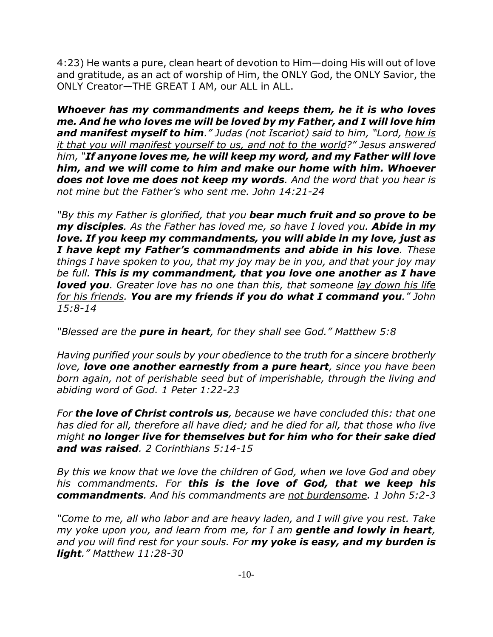4:23) He wants a pure, clean heart of devotion to Him—doing His will out of love and gratitude, as an act of worship of Him, the ONLY God, the ONLY Savior, the ONLY Creator—THE GREAT I AM, our ALL in ALL.

*Whoever has my commandments and keeps them, he it is who loves me. And he who loves me will be loved by my Father, and I will love him and manifest myself to him." Judas (not Iscariot) said to him, "Lord, how is it that you will manifest yourself to us, and not to the world?" Jesus answered him, "If anyone loves me, he will keep my word, and my Father will love him, and we will come to him and make our home with him. Whoever does not love me does not keep my words. And the word that you hear is not mine but the Father's who sent me. John 14:21-24*

*"By this my Father is glorified, that you bear much fruit and so prove to be my disciples. As the Father has loved me, so have I loved you. Abide in my love. If you keep my commandments, you will abide in my love, just as I have kept my Father's commandments and abide in his love. These things I have spoken to you, that my joy may be in you, and that your joy may be full. This is my commandment, that you love one another as I have loved you. Greater love has no one than this, that someone lay down his life for his friends. You are my friends if you do what I command you." John 15:8-14*

*"Blessed are the pure in heart, for they shall see God." Matthew 5:8*

*Having purified your souls by your obedience to the truth for a sincere brotherly love, love one another earnestly from a pure heart, since you have been born again, not of perishable seed but of imperishable, through the living and abiding word of God. 1 Peter 1:22-23*

*For the love of Christ controls us, because we have concluded this: that one has died for all, therefore all have died; and he died for all, that those who live might no longer live for themselves but for him who for their sake died and was raised. 2 Corinthians 5:14-15*

*By this we know that we love the children of God, when we love God and obey his commandments. For this is the love of God, that we keep his commandments. And his commandments are not burdensome. 1 John 5:2-3*

*"Come to me, all who labor and are heavy laden, and I will give you rest. Take my yoke upon you, and learn from me, for I am gentle and lowly in heart, and you will find rest for your souls. For my yoke is easy, and my burden is light." Matthew 11:28-30*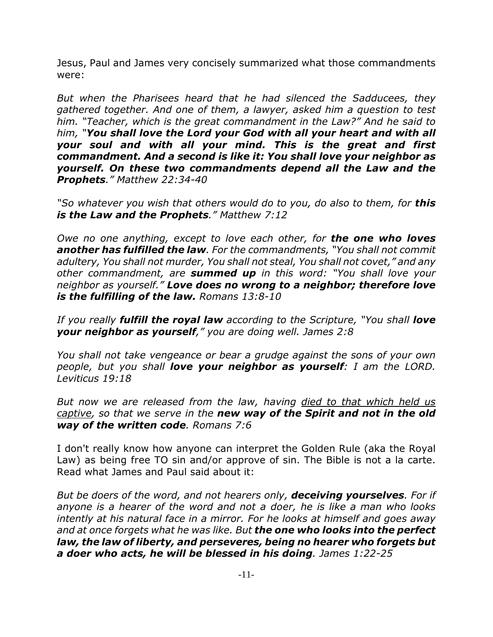Jesus, Paul and James very concisely summarized what those commandments were:

*But when the Pharisees heard that he had silenced the Sadducees, they gathered together. And one of them, a lawyer, asked him a question to test him. "Teacher, which is the great commandment in the Law?" And he said to him, "You shall love the Lord your God with all your heart and with all your soul and with all your mind. This is the great and first commandment. And a second is like it: You shall love your neighbor as yourself. On these two commandments depend all the Law and the Prophets." Matthew 22:34-40*

*"So whatever you wish that others would do to you, do also to them, for this is the Law and the Prophets." Matthew 7:12*

*Owe no one anything, except to love each other, for the one who loves another has fulfilled the law. For the commandments, "You shall not commit adultery, You shall not murder, You shall not steal, You shall not covet," and any other commandment, are summed up in this word: "You shall love your neighbor as yourself." Love does no wrong to a neighbor; therefore love is the fulfilling of the law. Romans 13:8-10*

*If you really fulfill the royal law according to the Scripture, "You shall love your neighbor as yourself," you are doing well. James 2:8*

*You shall not take vengeance or bear a grudge against the sons of your own people, but you shall love your neighbor as yourself: I am the LORD. Leviticus 19:18*

*But now we are released from the law, having died to that which held us captive, so that we serve in the new way of the Spirit and not in the old way of the written code. Romans 7:6*

I don't really know how anyone can interpret the Golden Rule (aka the Royal Law) as being free TO sin and/or approve of sin. The Bible is not a la carte. Read what James and Paul said about it:

*But be doers of the word, and not hearers only, deceiving yourselves. For if anyone is a hearer of the word and not a doer, he is like a man who looks intently at his natural face in a mirror. For he looks at himself and goes away and at once forgets what he was like. But the one who looks into the perfect law, the law of liberty, and perseveres, being no hearer who forgets but a doer who acts, he will be blessed in his doing. James 1:22-25*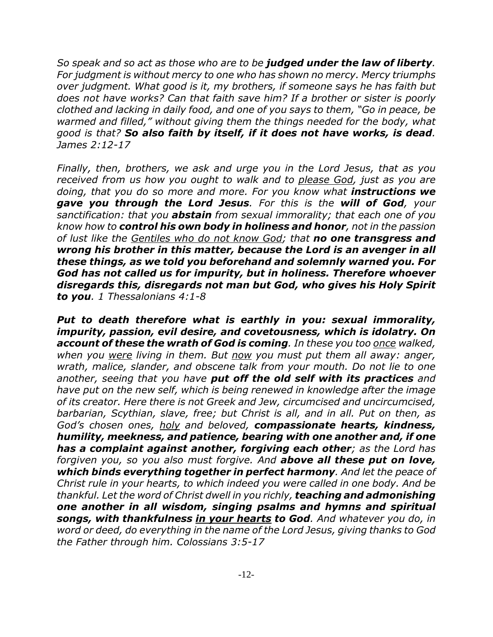*So speak and so act as those who are to be judged under the law of liberty. For judgment is without mercy to one who has shown no mercy. Mercy triumphs over judgment. What good is it, my brothers, if someone says he has faith but does not have works? Can that faith save him? If a brother or sister is poorly clothed and lacking in daily food, and one of you says to them, "Go in peace, be warmed and filled," without giving them the things needed for the body, what good is that? So also faith by itself, if it does not have works, is dead. James 2:12-17*

*Finally, then, brothers, we ask and urge you in the Lord Jesus, that as you received from us how you ought to walk and to please God, just as you are doing, that you do so more and more. For you know what instructions we gave you through the Lord Jesus. For this is the will of God, your sanctification: that you abstain from sexual immorality; that each one of you know how to control his own body in holiness and honor, not in the passion of lust like the Gentiles who do not know God; that no one transgress and wrong his brother in this matter, because the Lord is an avenger in all these things, as we told you beforehand and solemnly warned you. For God has not called us for impurity, but in holiness. Therefore whoever disregards this, disregards not man but God, who gives his Holy Spirit to you. 1 Thessalonians 4:1-8*

*Put to death therefore what is earthly in you: sexual immorality, impurity, passion, evil desire, and covetousness, which is idolatry. On account of these the wrath of God is coming. In these you too once walked, when you were living in them. But now you must put them all away: anger, wrath, malice, slander, and obscene talk from your mouth. Do not lie to one another, seeing that you have put off the old self with its practices and have put on the new self, which is being renewed in knowledge after the image of its creator. Here there is not Greek and Jew, circumcised and uncircumcised, barbarian, Scythian, slave, free; but Christ is all, and in all. Put on then, as God's chosen ones, holy and beloved, compassionate hearts, kindness, humility, meekness, and patience, bearing with one another and, if one has a complaint against another, forgiving each other; as the Lord has forgiven you, so you also must forgive. And above all these put on love, which binds everything together in perfect harmony. And let the peace of Christ rule in your hearts, to which indeed you were called in one body. And be thankful. Let the word of Christ dwell in you richly, teaching and admonishing one another in all wisdom, singing psalms and hymns and spiritual songs, with thankfulness in your hearts to God. And whatever you do, in word or deed, do everything in the name of the Lord Jesus, giving thanks to God the Father through him. Colossians 3:5-17*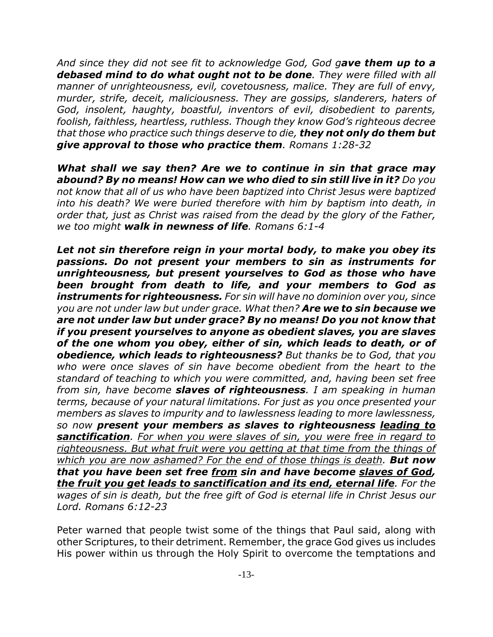*And since they did not see fit to acknowledge God, God gave them up to a debased mind to do what ought not to be done. They were filled with all manner of unrighteousness, evil, covetousness, malice. They are full of envy, murder, strife, deceit, maliciousness. They are gossips, slanderers, haters of God, insolent, haughty, boastful, inventors of evil, disobedient to parents, foolish, faithless, heartless, ruthless. Though they know God's righteous decree that those who practice such things deserve to die, they not only do them but give approval to those who practice them. Romans 1:28-32*

*What shall we say then? Are we to continue in sin that grace may abound? By no means! How can we who died to sin still live in it? Do you not know that all of us who have been baptized into Christ Jesus were baptized into his death? We were buried therefore with him by baptism into death, in order that, just as Christ was raised from the dead by the glory of the Father, we too might walk in newness of life. Romans 6:1-4*

*Let not sin therefore reign in your mortal body, to make you obey its passions. Do not present your members to sin as instruments for unrighteousness, but present yourselves to God as those who have been brought from death to life, and your members to God as instruments for righteousness. For sin will have no dominion over you, since you are not under law but under grace. What then? Are we to sin because we are not under law but under grace? By no means! Do you not know that if you present yourselves to anyone as obedient slaves, you are slaves of the one whom you obey, either of sin, which leads to death, or of obedience, which leads to righteousness? But thanks be to God, that you who were once slaves of sin have become obedient from the heart to the standard of teaching to which you were committed, and, having been set free from sin, have become slaves of righteousness. I am speaking in human terms, because of your natural limitations. For just as you once presented your members as slaves to impurity and to lawlessness leading to more lawlessness, so now present your members as slaves to righteousness leading to sanctification. For when you were slaves of sin, you were free in regard to righteousness. But what fruit were you getting at that time from the things of which you are now ashamed? For the end of those things is death. But now that you have been set free from sin and have become slaves of God, the fruit you get leads to sanctification and its end, eternal life. For the wages of sin is death, but the free gift of God is eternal life in Christ Jesus our Lord. Romans 6:12-23*

Peter warned that people twist some of the things that Paul said, along with other Scriptures, to their detriment. Remember, the grace God gives us includes His power within us through the Holy Spirit to overcome the temptations and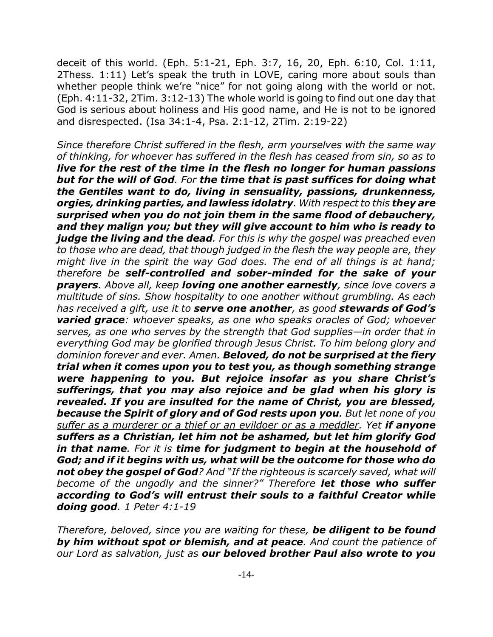deceit of this world. (Eph. 5:1-21, Eph. 3:7, 16, 20, Eph. 6:10, Col. 1:11, 2Thess. 1:11) Let's speak the truth in LOVE, caring more about souls than whether people think we're "nice" for not going along with the world or not. (Eph. 4:11-32, 2Tim. 3:12-13) The whole world is going to find out one day that God is serious about holiness and His good name, and He is not to be ignored and disrespected. (Isa 34:1-4, Psa. 2:1-12, 2Tim. 2:19-22)

*Since therefore Christ suffered in the flesh, arm yourselves with the same way of thinking, for whoever has suffered in the flesh has ceased from sin, so as to live for the rest of the time in the flesh no longer for human passions but for the will of God. For the time that is past suffices for doing what the Gentiles want to do, living in sensuality, passions, drunkenness, orgies, drinking parties, and lawless idolatry. With respect to this they are surprised when you do not join them in the same flood of debauchery, and they malign you; but they will give account to him who is ready to judge the living and the dead. For this is why the gospel was preached even to those who are dead, that though judged in the flesh the way people are, they might live in the spirit the way God does. The end of all things is at hand; therefore be self-controlled and sober-minded for the sake of your prayers. Above all, keep loving one another earnestly, since love covers a multitude of sins. Show hospitality to one another without grumbling. As each has received a gift, use it to serve one another, as good stewards of God's varied grace: whoever speaks, as one who speaks oracles of God; whoever serves, as one who serves by the strength that God supplies—in order that in everything God may be glorified through Jesus Christ. To him belong glory and dominion forever and ever. Amen. Beloved, do not be surprised at the fiery trial when it comes upon you to test you, as though something strange were happening to you. But rejoice insofar as you share Christ's sufferings, that you may also rejoice and be glad when his glory is revealed. If you are insulted for the name of Christ, you are blessed, because the Spirit of glory and of God rests upon you. But let none of you suffer as a murderer or a thief or an evildoer or as a meddler. Yet if anyone suffers as a Christian, let him not be ashamed, but let him glorify God in that name. For it is time for judgment to begin at the household of God; and if it begins with us, what will be the outcome for those who do not obey the gospel of God? And "If the righteous is scarcely saved, what will become of the ungodly and the sinner?" Therefore let those who suffer according to God's will entrust their souls to a faithful Creator while doing good. 1 Peter 4:1-19*

*Therefore, beloved, since you are waiting for these, be diligent to be found by him without spot or blemish, and at peace. And count the patience of our Lord as salvation, just as our beloved brother Paul also wrote to you*